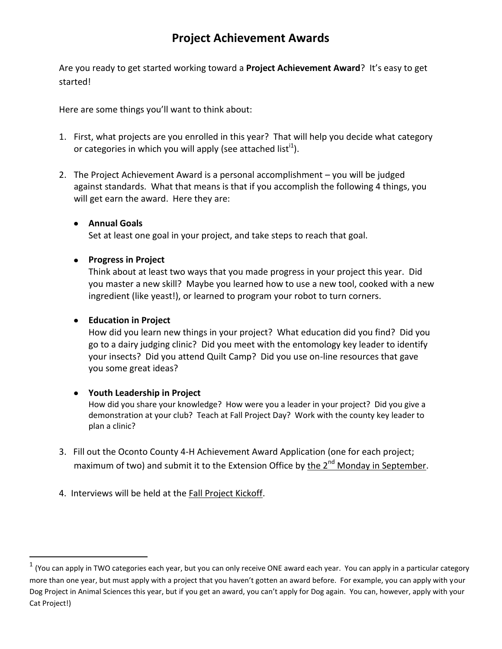## **Project Achievement Awards**

Are you ready to get started working toward a **Project Achievement Award**? It's easy to get started!

Here are some things you'll want to think about:

- 1. First, what projects are you enrolled in this year? That will help you decide what category or categories in which you will apply (see attached list<sup>i1</sup>).
- 2. The Project Achievement Award is a personal accomplishment you will be judged against standards. What that means is that if you accomplish the following 4 things, you will get earn the award. Here they are:

#### **Annual Goals**

Set at least one goal in your project, and take steps to reach that goal.

#### **Progress in Project**

Think about at least two ways that you made progress in your project this year. Did you master a new skill? Maybe you learned how to use a new tool, cooked with a new ingredient (like yeast!), or learned to program your robot to turn corners.

### **Education in Project**

 $\overline{a}$ 

How did you learn new things in your project? What education did you find? Did you go to a dairy judging clinic? Did you meet with the entomology key leader to identify your insects? Did you attend Quilt Camp? Did you use on-line resources that gave you some great ideas?

#### **Youth Leadership in Project**

How did you share your knowledge? How were you a leader in your project? Did you give a demonstration at your club? Teach at Fall Project Day? Work with the county key leader to plan a clinic?

- 3. Fill out the Oconto County 4-H Achievement Award Application (one for each project; maximum of two) and submit it to the Extension Office by the 2<sup>nd</sup> Monday in September.
- 4. Interviews will be held at the Fall Project Kickoff.

 $^1$  (You can apply in TWO categories each year, but you can only receive ONE award each year. You can apply in a particular category more than one year, but must apply with a project that you haven't gotten an award before. For example, you can apply with your Dog Project in Animal Sciences this year, but if you get an award, you can't apply for Dog again. You can, however, apply with your Cat Project!)